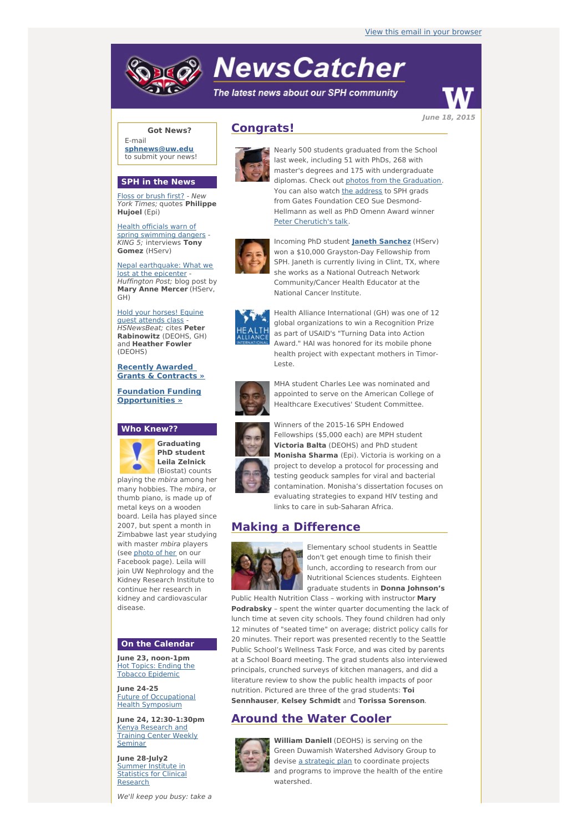# **NewsCatcher**

The latest news about our SPH community



**Got News?**

E-mail **[sphnews@uw.edu](mailto:sphnews@uw.edu)** to submit your news!

#### **SPH in the News**

Floss or [brush](http://engage.washington.edu/site/R?i=1pNUv01w1z6_XIoSvNpExw) first? - New York Times; quotes **Philippe Hujoel** (Epi)

Health officials warn of spring [swimming](http://engage.washington.edu/site/R?i=2ZmtcmvIjsMeTxZNI7_TyA) dangers - KING 5; interviews **Tony Gomez** (HServ)

Nepal [earthquake:](http://engage.washington.edu/site/R?i=9EK16xNF4j-IYKXJ_zB9Vw) What we lost at the epicenter - Huffington Post; blog post by **Mary Anne Mercer** (HServ, GH)

Hold your [horses!](http://engage.washington.edu/site/R?i=1CwcS9rgPrNnK_Qn4tpk2Q) Equine guest attends class - HSNewsBeat; cites **Peter Rabinowitz** (DEOHS, GH) and **Heather Fowler** (DEOHS)

**Recently Awarded Grants & [Contracts](http://engage.washington.edu/site/R?i=9xCbDVTmiLfm2AXkgUVZSA) »**

**Foundation Funding [Opportunities](http://engage.washington.edu/site/R?i=4PCbiFLofplGjmouHYL8Mg) »**

#### **Who Knew??**



**Graduating PhD student Leila Zelnick** (Biostat) counts

playing the mbira among her many hobbies. The mbira, or thumb piano, is made up of metal keys on a wooden board. Leila has played since 2007, but spent a month in Zimbabwe last year studying with master *mbira* players (see [photo](http://engage.washington.edu/site/R?i=tQCWtpqhNovhTk0MVso4eg) of her on our Facebook page). Leila will join UW Nephrology and the Kidney Research Institute to continue her research in kidney and cardiovascular disease.

## **On the Calendar**

**June 23, noon-1pm** Hot Topics: Ending the Tobacco [Epidemic](http://engage.washington.edu/site/R?i=tNUyIRL0WRSSdhxT9YRO4A)

**June 24-25** Future of [Occupational](http://engage.washington.edu/site/R?i=eeEPKHeHsb2xYBTvXz09Mw) Health Symposium

**June 24, 12:30-1:30pm** Kenya [Research](http://engage.washington.edu/site/R?i=NE_7HIey2lLpix5LqQVU2g) and Training Center Weekly Seminar

**June 28-July2** Summer Institute in [Statistics](http://engage.washington.edu/site/R?i=80alVG9uhs3hnANjXzEHlg) for Clinical Research

We'll keep you busy: take a

# **Congrats!**



Nearly 500 students graduated from the School last week, including 51 with PhDs, 268 with master's degrees and 175 with undergraduate diplomas. Check out photos from the [Graduation](http://engage.washington.edu/site/R?i=DBE9GjewiRQXcH3P6IZTcA). You can also watch the [address](http://engage.washington.edu/site/R?i=t3wnxujtb_h5n8bqWVH-Ww) to SPH grads from Gates Foundation CEO Sue Desmond-Hellmann as well as PhD Omenn Award winner Peter [Cherutich's](http://engage.washington.edu/site/R?i=72DLt5s5UsrzWLD_Hs9s3g) talk.



won a \$10,000 Grayston-Day Fellowship from SPH. Janeth is currently living in Clint, TX, where she works as a National Outreach Network Community/Cancer Health Educator at the National Cancer Institute.



Health Alliance International (GH) was one of 12 global organizations to win a Recognition Prize as part of USAID's "Turning Data into Action Award." HAI was honored for its mobile phone health project with expectant mothers in Timor-Leste.



MHA student Charles Lee was nominated and appointed to serve on the American College of Healthcare Executives' Student Committee.

Winners of the 2015-16 SPH Endowed Fellowships (\$5,000 each) are MPH student **Victoria Balta** (DEOHS) and PhD student **Monisha Sharma** (Epi). Victoria is working on a project to develop a protocol for processing and testing geoduck samples for viral and bacterial contamination. Monisha's dissertation focuses on evaluating strategies to expand HIV testing and links to care in sub-Saharan Africa.

## **Making a Difference**



Elementary school students in Seattle don't get enough time to finish their lunch, according to research from our Nutritional Sciences students. Eighteen graduate students in **Donna Johnson's**

Public Health Nutrition Class – working with instructor **Mary Podrabsky** – spent the winter quarter documenting the lack of lunch time at seven city schools. They found children had only 12 minutes of "seated time" on average; district policy calls for 20 minutes. Their report was presented recently to the Seattle Public School's Wellness Task Force, and was cited by parents at a School Board meeting. The grad students also interviewed principals, crunched surveys of kitchen managers, and did a literature review to show the public health impacts of poor nutrition. Pictured are three of the grad students: **Toi Sennhauser**, **Kelsey Schmidt** and **Torissa Sorenson**.

## **Around the Water Cooler**



**William Daniell** (DEOHS) is serving on the Green Duwamish Watershed Advisory Group to devise a [strategic](http://engage.washington.edu/site/R?i=w_haHwQrN60zPj3TIy8Ilw) plan to coordinate projects and programs to improve the health of the entire watershed.

Incoming PhD student **Janeth [Sanchez](http://engage.washington.edu/site/R?i=UOukusGeFTcJLrIzxr8IbQ)** (HServ)